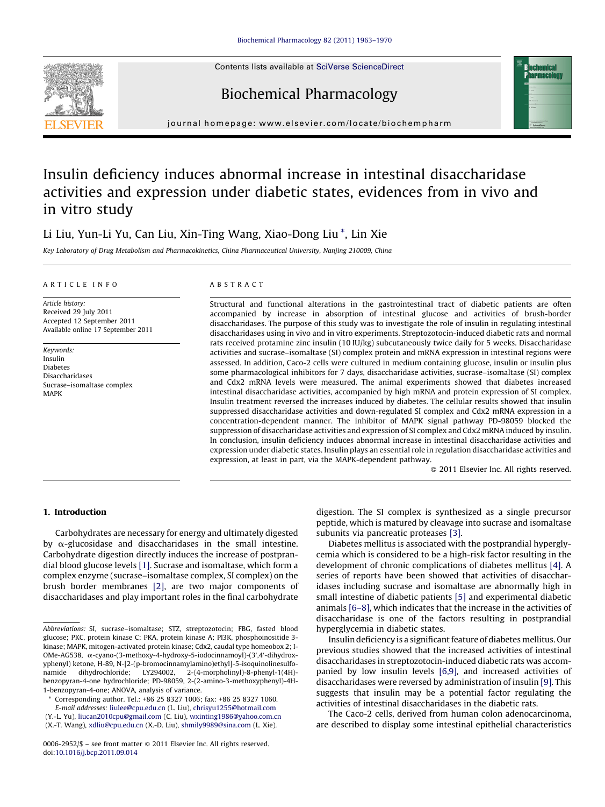Contents lists available at SciVerse [ScienceDirect](http://www.sciencedirect.com/science/journal/00062952)





## Biochemical Pharmacology

journal homepage: www.elsevier.com/locate/biochempharm

# Insulin deficiency induces abnormal increase in intestinal disaccharidase activities and expression under diabetic states, evidences from in vivo and in vitro study

## Li Liu, Yun-Li Yu, Can Liu, Xin-Ting Wang, Xiao-Dong Liu \*, Lin Xie

Key Laboratory of Drug Metabolism and Pharmacokinetics, China Pharmaceutical University, Nanjing 210009, China

#### A R T I C L E I N F O

Article history: Received 29 July 2011 Accepted 12 September 2011 Available online 17 September 2011

Keywords: Insulin Diabetes Disaccharidases Sucrase–isomaltase complex MAPK

## A B S T R A C T

Structural and functional alterations in the gastrointestinal tract of diabetic patients are often accompanied by increase in absorption of intestinal glucose and activities of brush-border disaccharidases. The purpose of this study was to investigate the role of insulin in regulating intestinal disaccharidases using in vivo and in vitro experiments. Streptozotocin-induced diabetic rats and normal rats received protamine zinc insulin (10 IU/kg) subcutaneously twice daily for 5 weeks. Disaccharidase activities and sucrase–isomaltase (SI) complex protein and mRNA expression in intestinal regions were assessed. In addition, Caco-2 cells were cultured in medium containing glucose, insulin or insulin plus some pharmacological inhibitors for 7 days, disaccharidase activities, sucrase–isomaltase (SI) complex and Cdx2 mRNA levels were measured. The animal experiments showed that diabetes increased intestinal disaccharidase activities, accompanied by high mRNA and protein expression of SI complex. Insulin treatment reversed the increases induced by diabetes. The cellular results showed that insulin suppressed disaccharidase activities and down-regulated SI complex and Cdx2 mRNA expression in a concentration-dependent manner. The inhibitor of MAPK signal pathway PD-98059 blocked the suppression of disaccharidase activities and expression of SI complex and Cdx2 mRNA induced by insulin. In conclusion, insulin deficiency induces abnormal increase in intestinal disaccharidase activities and expression under diabetic states. Insulin plays an essential role in regulation disaccharidase activities and expression, at least in part, via the MAPK-dependent pathway.

 $\odot$  2011 Elsevier Inc. All rights reserved.

#### 1. Introduction

Carbohydrates are necessary for energy and ultimately digested by  $\alpha$ -glucosidase and disaccharidases in the small intestine. Carbohydrate digestion directly induces the increase of postprandial blood glucose levels [\[1\].](#page-7-0) Sucrase and isomaltase, which form a complex enzyme (sucrase–isomaltase complex, SI complex) on the brush border membranes [\[2\],](#page-7-0) are two major components of disaccharidases and play important roles in the final carbohydrate

Corresponding author. Tel.: +86 25 8327 1006; fax: +86 25 8327 1060. E-mail addresses: [liulee@cpu.edu.cn](mailto:liulee@cpu.edu.cn) (L. Liu), [chrisyu1255@hotmail.com](mailto:chrisyu1255@hotmail.com)

(Y.-L. Yu), [liucan2010cpu@gmail.com](mailto:liucan2010cpu@gmail.com) (C. Liu), [wxinting1986@yahoo.com.cn](mailto:wxinting1986@yahoo.com.cn)

(X.-T. Wang), [xdliu@cpu.edu.cn](mailto:xdliu@cpu.edu.cn) (X.-D. Liu), [shmily9989@sina.com](mailto:shmily9989@sina.com) (L. Xie).

0006-2952/\$ – see front matter © 2011 Elsevier Inc. All rights reserved. doi:[10.1016/j.bcp.2011.09.014](http://dx.doi.org/10.1016/j.bcp.2011.09.014)

digestion. The SI complex is synthesized as a single precursor peptide, which is matured by cleavage into sucrase and isomaltase subunits via pancreatic proteases [\[3\].](#page-7-0)

Diabetes mellitus is associated with the postprandial hyperglycemia which is considered to be a high-risk factor resulting in the development of chronic complications of diabetes mellitus [\[4\]](#page-7-0). A series of reports have been showed that activities of disaccharidases including sucrase and isomaltase are abnormally high in small intestine of diabetic patients [\[5\]](#page-7-0) and experimental diabetic animals [\[6–8\],](#page-7-0) which indicates that the increase in the activities of disaccharidase is one of the factors resulting in postprandial hyperglycemia in diabetic states.

Insulin deficiency is a significant feature of diabetes mellitus. Our previous studies showed that the increased activities of intestinal disaccharidases in streptozotocin-induced diabetic rats was accompanied by low insulin levels [\[6,9\],](#page-7-0) and increased activities of disaccharidases were reversed by administration of insulin [\[9\]](#page-7-0). This suggests that insulin may be a potential factor regulating the activities of intestinal disaccharidases in the diabetic rats.

The Caco-2 cells, derived from human colon adenocarcinoma, are described to display some intestinal epithelial characteristics

Abbreviations: SI, sucrase–isomaltase; STZ, streptozotocin; FBG, fasted blood glucose; PKC, protein kinase C; PKA, protein kinase A; PI3K, phosphoinositide 3 kinase; MAPK, mitogen-activated protein kinase; Cdx2, caudal type homeobox 2; I-OMe-AG538, α-cyano-(3-methoxy-4-hydroxy-5-iodocinnamoyl)-(3',4'-dihydroxyphenyl) ketone, H-89, N-[2-(p-bromocinnamylamino)ethyl]-5-isoquinolinesulfonamide dihydrochloride; LY294002, 2-(4-morpholinyl)-8-phenyl-1(4H) benzopyran-4-one hydrochloride; PD-98059, 2-(2-amino-3-methoxyphenyl)-4H-1-benzopyran-4-one; ANOVA, analysis of variance.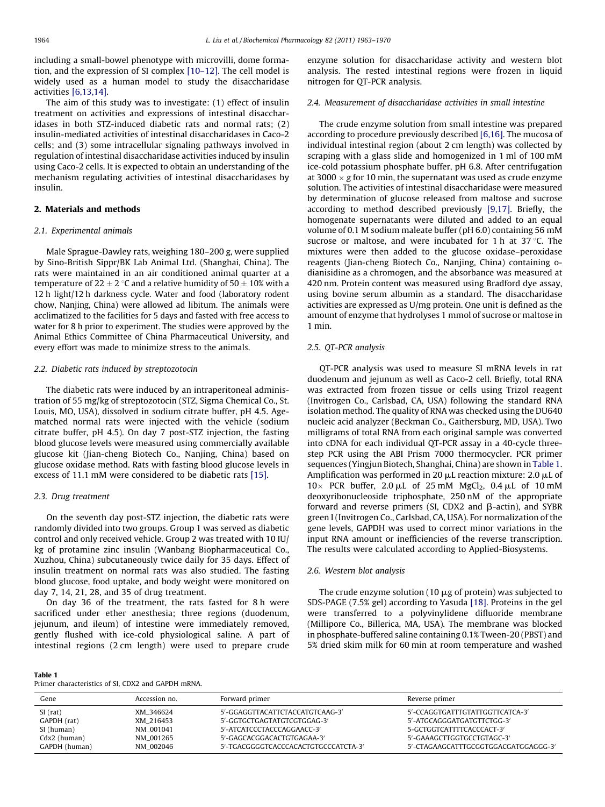including a small-bowel phenotype with microvilli, dome formation, and the expression of SI complex [\[10–12\]](#page-7-0). The cell model is widely used as a human model to study the disaccharidase activities [\[6,13,14\].](#page-7-0)

The aim of this study was to investigate: (1) effect of insulin treatment on activities and expressions of intestinal disaccharidases in both STZ-induced diabetic rats and normal rats; (2) insulin-mediated activities of intestinal disaccharidases in Caco-2 cells; and (3) some intracellular signaling pathways involved in regulation of intestinal disaccharidase activities induced by insulin using Caco-2 cells. It is expected to obtain an understanding of the mechanism regulating activities of intestinal disaccharidases by insulin.

#### 2. Materials and methods

#### 2.1. Experimental animals

Male Sprague-Dawley rats, weighing 180–200 g, were supplied by Sino-British Sippr/BK Lab Animal Ltd. (Shanghai, China). The rats were maintained in an air conditioned animal quarter at a temperature of 22  $\pm$  2 °C and a relative humidity of 50  $\pm$  10% with a 12 h light/12 h darkness cycle. Water and food (laboratory rodent chow, Nanjing, China) were allowed ad libitum. The animals were acclimatized to the facilities for 5 days and fasted with free access to water for 8 h prior to experiment. The studies were approved by the Animal Ethics Committee of China Pharmaceutical University, and every effort was made to minimize stress to the animals.

#### 2.2. Diabetic rats induced by streptozotocin

The diabetic rats were induced by an intraperitoneal administration of 55 mg/kg of streptozotocin (STZ, Sigma Chemical Co., St. Louis, MO, USA), dissolved in sodium citrate buffer, pH 4.5. Agematched normal rats were injected with the vehicle (sodium citrate buffer, pH 4.5). On day 7 post-STZ injection, the fasting blood glucose levels were measured using commercially available glucose kit (Jian-cheng Biotech Co., Nanjing, China) based on glucose oxidase method. Rats with fasting blood glucose levels in excess of 11.1 mM were considered to be diabetic rats [\[15\].](#page-7-0)

#### 2.3. Drug treatment

Table 1

On the seventh day post-STZ injection, the diabetic rats were randomly divided into two groups. Group 1 was served as diabetic control and only received vehicle. Group 2 was treated with 10 IU/ kg of protamine zinc insulin (Wanbang Biopharmaceutical Co., Xuzhou, China) subcutaneously twice daily for 35 days. Effect of insulin treatment on normal rats was also studied. The fasting blood glucose, food uptake, and body weight were monitored on day 7, 14, 21, 28, and 35 of drug treatment.

On day 36 of the treatment, the rats fasted for 8 h were sacrificed under ether anesthesia; three regions (duodenum, jejunum, and ileum) of intestine were immediately removed, gently flushed with ice-cold physiological saline. A part of intestinal regions (2 cm length) were used to prepare crude enzyme solution for disaccharidase activity and western blot analysis. The rested intestinal regions were frozen in liquid nitrogen for QT-PCR analysis.

## 2.4. Measurement of disaccharidase activities in small intestine

The crude enzyme solution from small intestine was prepared according to procedure previously described [\[6,16\]](#page-7-0). The mucosa of individual intestinal region (about 2 cm length) was collected by scraping with a glass slide and homogenized in 1 ml of 100 mM ice-cold potassium phosphate buffer, pH 6.8. After centrifugation at 3000  $\times$  g for 10 min, the supernatant was used as crude enzyme solution. The activities of intestinal disaccharidase were measured by determination of glucose released from maltose and sucrose according to method described previously [\[9,17\]](#page-7-0). Briefly, the homogenate supernatants were diluted and added to an equal volume of 0.1 M sodium maleate buffer (pH 6.0) containing 56 mM sucrose or maltose, and were incubated for 1 h at 37 $\degree$ C. The mixtures were then added to the glucose oxidase–peroxidase reagents (Jian-cheng Biotech Co., Nanjing, China) containing odianisidine as a chromogen, and the absorbance was measured at 420 nm. Protein content was measured using Bradford dye assay, using bovine serum albumin as a standard. The disaccharidase activities are expressed as U/mg protein. One unit is defined as the amount of enzyme that hydrolyses 1 mmol of sucrose or maltose in 1 min.

## 2.5. QT-PCR analysis

QT-PCR analysis was used to measure SI mRNA levels in rat duodenum and jejunum as well as Caco-2 cell. Briefly, total RNA was extracted from frozen tissue or cells using Trizol reagent (Invitrogen Co., Carlsbad, CA, USA) following the standard RNA isolation method. The quality of RNA was checked using the DU640 nucleic acid analyzer (Beckman Co., Gaithersburg, MD, USA). Two milligrams of total RNA from each original sample was converted into cDNA for each individual QT-PCR assay in a 40-cycle threestep PCR using the ABI Prism 7000 thermocycler. PCR primer sequences (Yingjun Biotech, Shanghai, China) are shown in Table 1. Amplification was performed in 20  $\mu$ L reaction mixture: 2.0  $\mu$ L of  $10 \times$  PCR buffer, 2.0 µL of 25 mM MgCl<sub>2</sub>, 0.4 µL of 10 mM deoxyribonucleoside triphosphate, 250 nM of the appropriate forward and reverse primers (SI, CDX2 and  $\beta$ -actin), and SYBR green I (Invitrogen Co., Carlsbad, CA, USA). For normalization of the gene levels, GAPDH was used to correct minor variations in the input RNA amount or inefficiencies of the reverse transcription. The results were calculated according to Applied-Biosystems.

### 2.6. Western blot analysis

The crude enzyme solution (10  $\mu$ g of protein) was subjected to SDS-PAGE (7.5% gel) according to Yasuda [\[18\].](#page-7-0) Proteins in the gel were transferred to a polyvinylidene difluoride membrane (Millipore Co., Billerica, MA, USA). The membrane was blocked in phosphate-buffered saline containing 0.1% Tween-20 (PBST) and 5% dried skim milk for 60 min at room temperature and washed

| .                                                  |  |  |  |
|----------------------------------------------------|--|--|--|
| Primer characteristics of SI, CDX2 and GAPDH mRNA. |  |  |  |

| Gene          | Accession no. | Forward primer                       | Reverse primer                       |
|---------------|---------------|--------------------------------------|--------------------------------------|
| $SI$ (rat)    | XM 346624     | 5'-GGAGGTTACATTCTACCATGTCAAG-3'      | 5'-CCAGGTGATTTGTATTGGTTCATCA-3'      |
| GAPDH (rat)   | XM 216453     | 5'-GGTGCTGAGTATGTCGTGGAG-3'          | 5'-ATGCAGGGATGATGTTCTGG-3'           |
| SI (human)    | NM 001041     | 5'-ATCATCCCTACCCAGGAACC-3'           | 5-GCTGGTCATTTTCACCCACT-3'            |
| Cdx2 (human)  | NM 001265     | 5'-GAGCACGGACACTGTGAGAA-3'           | 5'-GAAAGCTTGGTGCCTGTAGC-3'           |
| GAPDH (human) | NM 002046     | 5'-TGACGGGGTCACCCACACTGTGCCCATCTA-3' | 5'-CTAGAAGCATTTGCGGTGGACGATGGAGGG-3' |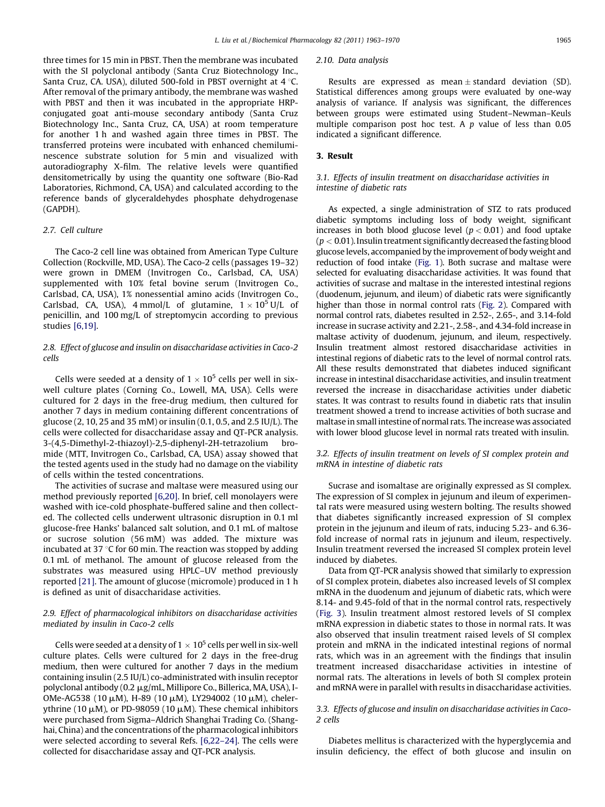three times for 15 min in PBST. Then the membrane was incubated with the SI polyclonal antibody (Santa Cruz Biotechnology Inc., Santa Cruz, CA. USA), diluted 500-fold in PBST overnight at  $4^{\circ}$ C. After removal of the primary antibody, the membrane was washed with PBST and then it was incubated in the appropriate HRPconjugated goat anti-mouse secondary antibody (Santa Cruz Biotechnology Inc., Santa Cruz, CA, USA) at room temperature for another 1 h and washed again three times in PBST. The transferred proteins were incubated with enhanced chemiluminescence substrate solution for 5 min and visualized with autoradiography X-film. The relative levels were quantified densitometrically by using the quantity one software (Bio-Rad Laboratories, Richmond, CA, USA) and calculated according to the reference bands of glyceraldehydes phosphate dehydrogenase (GAPDH).

#### 2.7. Cell culture

The Caco-2 cell line was obtained from American Type Culture Collection (Rockville, MD, USA). The Caco-2 cells (passages 19–32) were grown in DMEM (Invitrogen Co., Carlsbad, CA, USA) supplemented with 10% fetal bovine serum (Invitrogen Co., Carlsbad, CA, USA), 1% nonessential amino acids (Invitrogen Co., Carlsbad, CA, USA), 4 mmol/L of glutamine,  $1 \times 10^5$  U/L of penicillin, and 100 mg/L of streptomycin according to previous studies [\[6,19\].](#page-7-0)

## 2.8. Effect of glucose and insulin on disaccharidase activities in Caco-2 cells

Cells were seeded at a density of  $1 \times 10^5$  cells per well in sixwell culture plates (Corning Co., Lowell, MA, USA). Cells were cultured for 2 days in the free-drug medium, then cultured for another 7 days in medium containing different concentrations of glucose (2, 10, 25 and 35 mM) or insulin (0.1, 0.5, and 2.5 IU/L). The cells were collected for disaccharidase assay and QT-PCR analysis. 3-(4,5-Dimethyl-2-thiazoyl)-2,5-diphenyl-2H-tetrazolium bromide (MTT, Invitrogen Co., Carlsbad, CA, USA) assay showed that the tested agents used in the study had no damage on the viability of cells within the tested concentrations.

The activities of sucrase and maltase were measured using our method previously reported [\[6,20\].](#page-7-0) In brief, cell monolayers were washed with ice-cold phosphate-buffered saline and then collected. The collected cells underwent ultrasonic disruption in 0.1 ml glucose-free Hanks' balanced salt solution, and 0.1 mL of maltose or sucrose solution (56 mM) was added. The mixture was incubated at 37  $\degree$ C for 60 min. The reaction was stopped by adding 0.1 mL of methanol. The amount of glucose released from the substrates was measured using HPLC–UV method previously reported [\[21\]](#page-7-0). The amount of glucose (micromole) produced in 1 h is defined as unit of disaccharidase activities.

## 2.9. Effect of pharmacological inhibitors on disaccharidase activities mediated by insulin in Caco-2 cells

Cells were seeded at a density of  $1 \times 10^5$  cells per well in six-well culture plates. Cells were cultured for 2 days in the free-drug medium, then were cultured for another 7 days in the medium containing insulin (2.5 IU/L) co-administrated with insulin receptor polyclonal antibody (0.2 mg/mL, Millipore Co., Billerica, MA, USA), I-OMe-AG538 (10  $\mu$ M), H-89 (10  $\mu$ M), LY294002 (10  $\mu$ M), chelerythrine (10  $\mu$ M), or PD-98059 (10  $\mu$ M). These chemical inhibitors were purchased from Sigma–Aldrich Shanghai Trading Co. (Shanghai, China) and the concentrations of the pharmacological inhibitors were selected according to several Refs. [\[6,22–24\].](#page-7-0) The cells were collected for disaccharidase assay and QT-PCR analysis.

#### 2.10. Data analysis

Results are expressed as mean  $\pm$  standard deviation (SD). Statistical differences among groups were evaluated by one-way analysis of variance. If analysis was significant, the differences between groups were estimated using Student–Newman–Keuls multiple comparison post hoc test. A  $p$  value of less than  $0.05$ indicated a significant difference.

#### 3. Result

#### 3.1. Effects of insulin treatment on disaccharidase activities in intestine of diabetic rats

As expected, a single administration of STZ to rats produced diabetic symptoms including loss of body weight, significant increases in both blood glucose level ( $p < 0.01$ ) and food uptake  $(p < 0.01)$ . Insulin treatment significantly decreased the fasting blood glucose levels, accompanied by the improvement of body weight and reduction of food intake ([Fig.](#page-3-0) 1). Both sucrase and maltase were selected for evaluating disaccharidase activities. It was found that activities of sucrase and maltase in the interested intestinal regions (duodenum, jejunum, and ileum) of diabetic rats were significantly higher than those in normal control rats [\(Fig.](#page-3-0) 2). Compared with normal control rats, diabetes resulted in 2.52-, 2.65-, and 3.14-fold increase in sucrase activity and 2.21-, 2.58-, and 4.34-fold increase in maltase activity of duodenum, jejunum, and ileum, respectively. Insulin treatment almost restored disaccharidase activities in intestinal regions of diabetic rats to the level of normal control rats. All these results demonstrated that diabetes induced significant increase in intestinal disaccharidase activities, and insulin treatment reversed the increase in disaccharidase activities under diabetic states. It was contrast to results found in diabetic rats that insulin treatment showed a trend to increase activities of both sucrase and maltase in small intestine of normal rats. The increase was associated with lower blood glucose level in normal rats treated with insulin.

#### 3.2. Effects of insulin treatment on levels of SI complex protein and mRNA in intestine of diabetic rats

Sucrase and isomaltase are originally expressed as SI complex. The expression of SI complex in jejunum and ileum of experimental rats were measured using western bolting. The results showed that diabetes significantly increased expression of SI complex protein in the jejunum and ileum of rats, inducing 5.23- and 6.36 fold increase of normal rats in jejunum and ileum, respectively. Insulin treatment reversed the increased SI complex protein level induced by diabetes.

Data from QT-PCR analysis showed that similarly to expression of SI complex protein, diabetes also increased levels of SI complex mRNA in the duodenum and jejunum of diabetic rats, which were 8.14- and 9.45-fold of that in the normal control rats, respectively ([Fig.](#page-4-0) 3). Insulin treatment almost restored levels of SI complex mRNA expression in diabetic states to those in normal rats. It was also observed that insulin treatment raised levels of SI complex protein and mRNA in the indicated intestinal regions of normal rats, which was in an agreement with the findings that insulin treatment increased disaccharidase activities in intestine of normal rats. The alterations in levels of both SI complex protein and mRNA were in parallel with results in disaccharidase activities.

#### 3.3. Effects of glucose and insulin on disaccharidase activities in Caco-2 cells

Diabetes mellitus is characterized with the hyperglycemia and insulin deficiency, the effect of both glucose and insulin on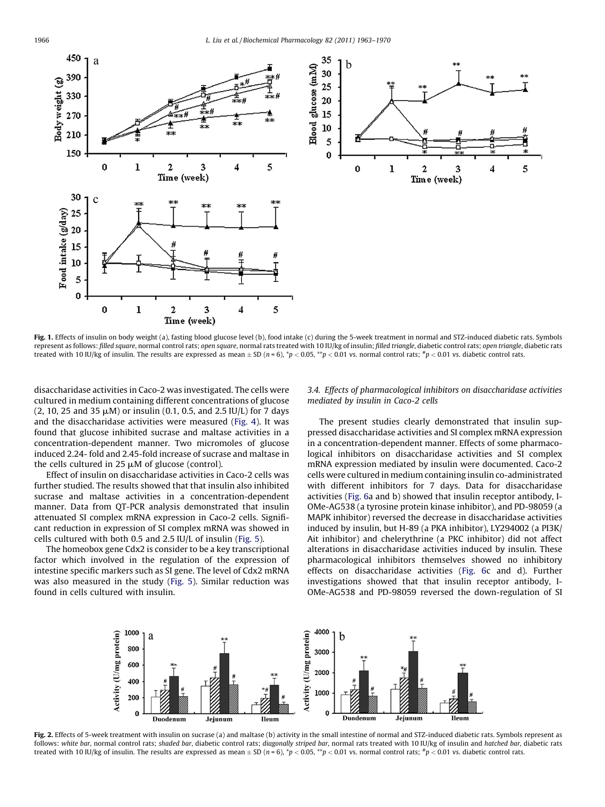<span id="page-3-0"></span>

Fig. 1. Effects of insulin on body weight (a), fasting blood glucose level (b), food intake (c) during the 5-week treatment in normal and STZ-induced diabetic rats. Symbols represent as follows: filled square, normal control rats; open square, normal rats treated with 10 IU/kg of insulin; filled triangle, diabetic control rats; open triangle, diabetic rats treated with 10 IU/kg of insulin. The results are expressed as mean  $\pm$  SD (n = 6),  $^*p$  < 0.05,  $^{**}p$  < 0.01 vs. normal control rats,  $^*p$  < 0.01 vs. diabetic control rats.

disaccharidase activities in Caco-2 was investigated. The cells were cultured in medium containing different concentrations of glucose  $(2, 10, 25, 35, \mu M)$  or insulin  $(0.1, 0.5, 3.5, 10, 10)$  for 7 days and the disaccharidase activities were measured ([Fig.](#page-5-0) 4). It was found that glucose inhibited sucrase and maltase activities in a concentration-dependent manner. Two micromoles of glucose induced 2.24- fold and 2.45-fold increase of sucrase and maltase in the cells cultured in 25  $\mu$ M of glucose (control).

Effect of insulin on disaccharidase activities in Caco-2 cells was further studied. The results showed that that insulin also inhibited sucrase and maltase activities in a concentration-dependent manner. Data from QT-PCR analysis demonstrated that insulin attenuated SI complex mRNA expression in Caco-2 cells. Significant reduction in expression of SI complex mRNA was showed in cells cultured with both 0.5 and 2.5 IU/L of insulin ([Fig.](#page-5-0) 5).

The homeobox gene Cdx2 is consider to be a key transcriptional factor which involved in the regulation of the expression of intestine specific markers such as SI gene. The level of Cdx2 mRNA was also measured in the study ([Fig.](#page-5-0) 5). Similar reduction was found in cells cultured with insulin.

#### 3.4. Effects of pharmacological inhibitors on disaccharidase activities mediated by insulin in Caco-2 cells

The present studies clearly demonstrated that insulin suppressed disaccharidase activities and SI complex mRNA expression in a concentration-dependent manner. Effects of some pharmacological inhibitors on disaccharidase activities and SI complex mRNA expression mediated by insulin were documented. Caco-2 cells were cultured in medium containing insulin co-administrated with different inhibitors for 7 days. Data for disaccharidase activities ([Fig.](#page-6-0) 6a and b) showed that insulin receptor antibody, I-OMe-AG538 (a tyrosine protein kinase inhibitor), and PD-98059 (a MAPK inhibitor) reversed the decrease in disaccharidase activities induced by insulin, but H-89 (a PKA inhibitor), LY294002 (a PI3K/ Ait inhibitor) and chelerythrine (a PKC inhibitor) did not affect alterations in disaccharidase activities induced by insulin. These pharmacological inhibitors themselves showed no inhibitory effects on disaccharidase activities ([Fig.](#page-6-0) 6c and d). Further investigations showed that that insulin receptor antibody, I-OMe-AG538 and PD-98059 reversed the down-regulation of SI



Fig. 2. Effects of 5-week treatment with insulin on sucrase (a) and maltase (b) activity in the small intestine of normal and STZ-induced diabetic rats. Symbols represent as follows: white bar, normal control rats; shaded bar, diabetic control rats; diagonally striped bar, normal rats treated with 10 IU/kg of insulin and hatched bar, diabetic rats treated with 10 IU/kg of insulin. The results are expressed as mean  $\pm$  SD (n = 6),  $^*p$  < 0.05,  $^{**}p$  < 0.01 vs. normal control rats,  $^*p$  < 0.01 vs. diabetic control rats.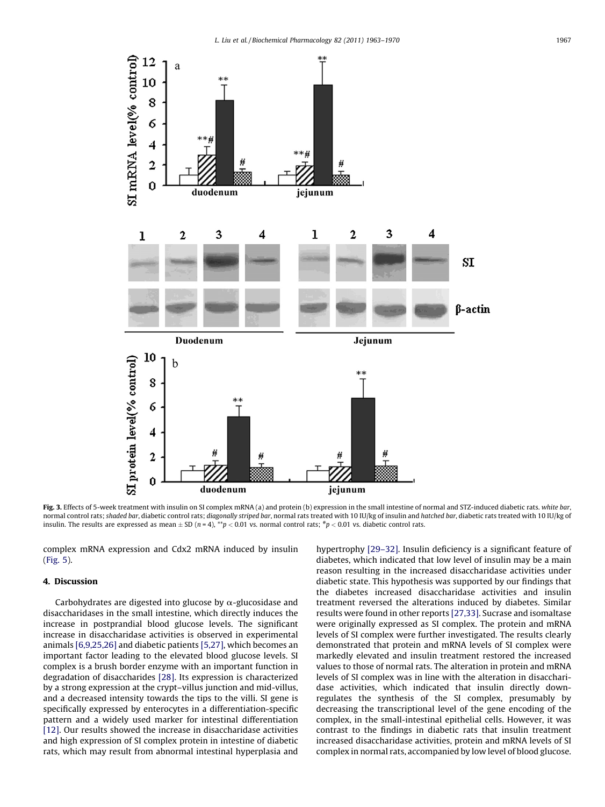<span id="page-4-0"></span>

Fig. 3. Effects of 5-week treatment with insulin on SI complex mRNA (a) and protein (b) expression in the small intestine of normal and STZ-induced diabetic rats. white bar, normal control rats; shaded bar, diabetic control rats; diagonally striped bar, normal rats treated with 10 IU/kg of insulin and hatched bar, diabetic rats treated with 10 IU/kg of insulin. The results are expressed as mean  $\pm$  SD (n = 4), \*\*p < 0.01 vs. normal control rats; \*p < 0.01 vs. diabetic control rats.

complex mRNA expression and Cdx2 mRNA induced by insulin ([Fig.](#page-5-0) 5).

### 4. Discussion

Carbohydrates are digested into glucose by  $\alpha$ -glucosidase and disaccharidases in the small intestine, which directly induces the increase in postprandial blood glucose levels. The significant increase in disaccharidase activities is observed in experimental animals [\[6,9,25,26\]](#page-7-0) and diabetic patients [\[5,27\]](#page-7-0), which becomes an important factor leading to the elevated blood glucose levels. SI complex is a brush border enzyme with an important function in degradation of disaccharides [\[28\].](#page-7-0) Its expression is characterized by a strong expression at the crypt–villus junction and mid-villus, and a decreased intensity towards the tips to the villi. SI gene is specifically expressed by enterocytes in a differentiation-specific pattern and a widely used marker for intestinal differentiation [\[12\]](#page-7-0). Our results showed the increase in disaccharidase activities and high expression of SI complex protein in intestine of diabetic rats, which may result from abnormal intestinal hyperplasia and hypertrophy [\[29–32\]](#page-7-0). Insulin deficiency is a significant feature of diabetes, which indicated that low level of insulin may be a main reason resulting in the increased disaccharidase activities under diabetic state. This hypothesis was supported by our findings that the diabetes increased disaccharidase activities and insulin treatment reversed the alterations induced by diabetes. Similar results were found in other reports [\[27,33\]](#page-7-0). Sucrase and isomaltase were originally expressed as SI complex. The protein and mRNA levels of SI complex were further investigated. The results clearly demonstrated that protein and mRNA levels of SI complex were markedly elevated and insulin treatment restored the increased values to those of normal rats. The alteration in protein and mRNA levels of SI complex was in line with the alteration in disaccharidase activities, which indicated that insulin directly downregulates the synthesis of the SI complex, presumably by decreasing the transcriptional level of the gene encoding of the complex, in the small-intestinal epithelial cells. However, it was contrast to the findings in diabetic rats that insulin treatment increased disaccharidase activities, protein and mRNA levels of SI complex in normal rats, accompanied by low level of blood glucose.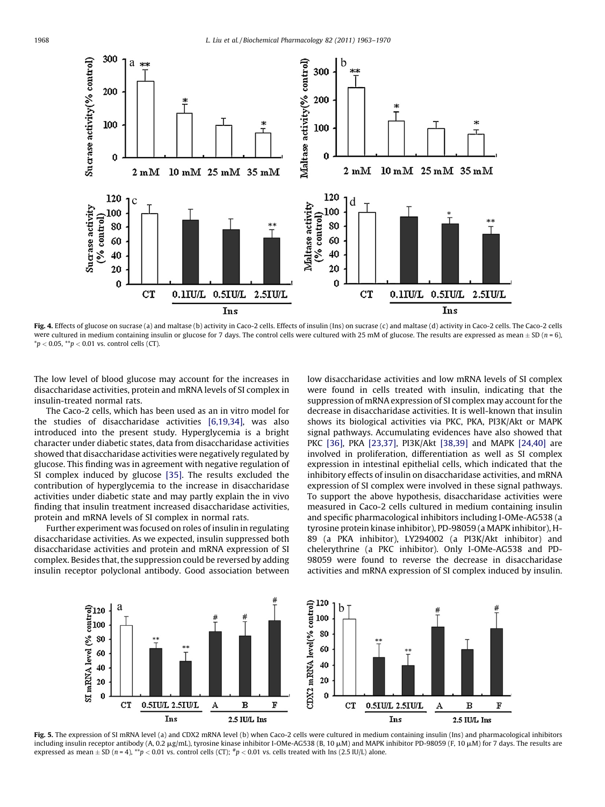<span id="page-5-0"></span>

Fig. 4. Effects of glucose on sucrase (a) and maltase (b) activity in Caco-2 cells. Effects of insulin (Ins) on sucrase (c) and maltase (d) activity in Caco-2 cells. The Caco-2 cells were cultured in medium containing insulin or glucose for 7 days. The control cells were cultured with 25 mM of glucose. The results are expressed as mean  $\pm$  SD (n = 6),  $*p < 0.05$ ,  $*p < 0.01$  vs. control cells (CT).

The low level of blood glucose may account for the increases in disaccharidase activities, protein and mRNA levels of SI complex in insulin-treated normal rats.

The Caco-2 cells, which has been used as an in vitro model for the studies of disaccharidase activities [\[6,19,34\]](#page-7-0), was also introduced into the present study. Hyperglycemia is a bright character under diabetic states, data from disaccharidase activities showed that disaccharidase activities were negatively regulated by glucose. This finding was in agreement with negative regulation of SI complex induced by glucose [\[35\]](#page-7-0). The results excluded the contribution of hyperglycemia to the increase in disaccharidase activities under diabetic state and may partly explain the in vivo finding that insulin treatment increased disaccharidase activities, protein and mRNA levels of SI complex in normal rats.

Further experiment was focused on roles of insulin in regulating disaccharidase activities. As we expected, insulin suppressed both disaccharidase activities and protein and mRNA expression of SI complex. Besides that, the suppression could be reversed by adding insulin receptor polyclonal antibody. Good association between low disaccharidase activities and low mRNA levels of SI complex were found in cells treated with insulin, indicating that the suppression of mRNA expression of SI complex may account for the decrease in disaccharidase activities. It is well-known that insulin shows its biological activities via PKC, PKA, PI3K/Akt or MAPK signal pathways. Accumulating evidences have also showed that PKC [\[36\]](#page-7-0), PKA [\[23,37\]](#page-7-0), PI3K/Akt [\[38,39\]](#page-7-0) and MAPK [\[24,40\]](#page-7-0) are involved in proliferation, differentiation as well as SI complex expression in intestinal epithelial cells, which indicated that the inhibitory effects of insulin on disaccharidase activities, and mRNA expression of SI complex were involved in these signal pathways. To support the above hypothesis, disaccharidase activities were measured in Caco-2 cells cultured in medium containing insulin and specific pharmacological inhibitors including I-OMe-AG538 (a tyrosine protein kinase inhibitor), PD-98059 (a MAPK inhibitor), H-89 (a PKA inhibitor), LY294002 (a PI3K/Akt inhibitor) and chelerythrine (a PKC inhibitor). Only I-OMe-AG538 and PD-98059 were found to reverse the decrease in disaccharidase activities and mRNA expression of SI complex induced by insulin.



Fig. 5. The expression of SI mRNA level (a) and CDX2 mRNA level (b) when Caco-2 cells were cultured in medium containing insulin (Ins) and pharmacological inhibitors including insulin receptor antibody (A, 0.2  $\mu$ g/mL), tyrosine kinase inhibitor I-OMe-AG538 (B, 10  $\mu$ M) and MAPK inhibitor PD-98059 (F, 10  $\mu$ M) for 7 days. The results are expressed as mean  $\pm$  SD (n = 4), \*\*p < 0.01 vs. control cells (CT); \*p < 0.01 vs. cells treated with Ins (2.5 IU/L) alone.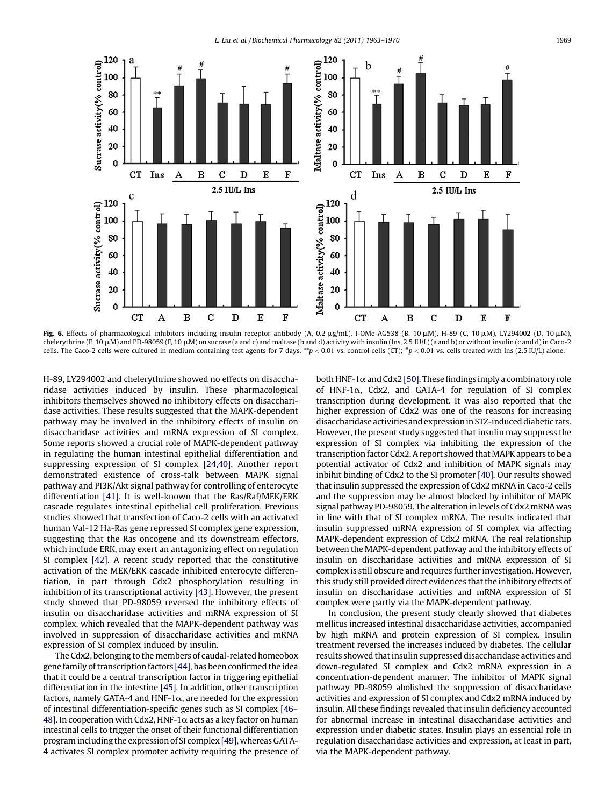<span id="page-6-0"></span>

Fig. 6. Effects of pharmacological inhibitors including insulin receptor antibody (A, 0.2 µg/mL), I-OMe-AG538 (B, 10 µM), H-89 (C, 10 µM), LY294002 (D, 10 µM), chelerythrine (E, 10  $\mu$ M) and PD-98059 (F, 10  $\mu$ M) on sucrase (a and c) and maltase (b and d) activity with insulin (Ins, 2.5 IU/L) (a and b) or without insulin (c and d) in Caco-2 cells. The Caco-2 cells were cultured in medium containing test agents for 7 days. \*\*p < 0.01 vs. control cells (CT);  $*p$  < 0.01 vs. cells treated with Ins (2.5 IU/L) alone.

H-89, LY294002 and chelerythrine showed no effects on disaccharidase activities induced by insulin. These pharmacological inhibitors themselves showed no inhibitory effects on disaccharidase activities. These results suggested that the MAPK-dependent pathway may be involved in the inhibitory effects of insulin on disaccharidase activities and mRNA expression of SI complex. Some reports showed a crucial role of MAPK-dependent pathway in regulating the human intestinal epithelial differentiation and suppressing expression of SI complex [\[24,40\]](#page-7-0). Another report demonstrated existence of cross-talk between MAPK signal pathway and PI3K/Akt signal pathway for controlling of enterocyte differentiation [\[41\].](#page-7-0) It is well-known that the Ras/Raf/MEK/ERK cascade regulates intestinal epithelial cell proliferation. Previous studies showed that transfection of Caco-2 cells with an activated human Val-12 Ha-Ras gene repressed SI complex gene expression, suggesting that the Ras oncogene and its downstream effectors, which include ERK, may exert an antagonizing effect on regulation SI complex [\[42\].](#page-7-0) A recent study reported that the constitutive activation of the MEK/ERK cascade inhibited enterocyte differentiation, in part through Cdx2 phosphorylation resulting in inhibition of its transcriptional activity [\[43\].](#page-7-0) However, the present study showed that PD-98059 reversed the inhibitory effects of insulin on disaccharidase activities and mRNA expression of SI complex, which revealed that the MAPK-dependent pathway was involved in suppression of disaccharidase activities and mRNA expression of SI complex induced by insulin.

The Cdx2, belonging to the members of caudal-related homeobox gene family of transcription factors [\[44\]](#page-7-0), has been confirmed the idea that it could be a central transcription factor in triggering epithelial differentiation in the intestine [\[45\]](#page-7-0). In addition, other transcription factors, namely GATA-4 and HNF-1 $\alpha$ , are needed for the expression of intestinal differentiation-specific genes such as SI complex [\[46–](#page-7-0) [48\].](#page-7-0) In cooperation with Cdx2, HNF-1 $\alpha$  acts as a key factor on human intestinal cells to trigger the onset of their functional differentiation program including the expressionof SI complex [\[49\]](#page-7-0), whereas GATA-4 activates SI complex promoter activity requiring the presence of both HNF-1 $\alpha$  and Cdx2 [\[50\].](#page-7-0) These findings imply a combinatory role of HNF-1 $\alpha$ , Cdx2, and GATA-4 for regulation of SI complex transcription during development. It was also reported that the higher expression of Cdx2 was one of the reasons for increasing disaccharidase activities and expression in STZ-induced diabetic rats. However, the present study suggested that insulin may suppress the expression of SI complex via inhibiting the expression of the transcription factor Cdx2. A report showed that MAPK appears to be a potential activator of Cdx2 and inhibition of MAPK signals may inbihit binding of Cdx2 to the SI promoter [\[40\].](#page-7-0) Our results showed that insulin suppressed the expression of Cdx2 mRNA in Caco-2 cells and the suppression may be almost blocked by inhibitor of MAPK signal pathway PD-98059. The alteration in levels of Cdx2 mRNA was in line with that of SI complex mRNA. The results indicated that insulin suppressed mRNA expression of SI complex via affecting MAPK-dependent expression of Cdx2 mRNA. The real relationship between the MAPK-dependent pathway and the inhibitory effects of insulin on disccharidase activities and mRNA expression of SI complex is still obscure and requires further investigation. However, this study still provided direct evidences that the inhibitory effects of insulin on disccharidase activities and mRNA expression of SI complex were partly via the MAPK-dependent pathway.

In conclusion, the present study clearly showed that diabetes mellitus increased intestinal disaccharidase activities, accompanied by high mRNA and protein expression of SI complex. Insulin treatment reversed the increases induced by diabetes. The cellular results showed that insulin suppressed disaccharidase activities and down-regulated SI complex and Cdx2 mRNA expression in a concentration-dependent manner. The inhibitor of MAPK signal pathway PD-98059 abolished the suppression of disaccharidase activities and expression of SI complex and Cdx2 mRNA induced by insulin. All these findings revealed that insulin deficiency accounted for abnormal increase in intestinal disaccharidase activities and expression under diabetic states. Insulin plays an essential role in regulation disaccharidase activities and expression, at least in part, via the MAPK-dependent pathway.